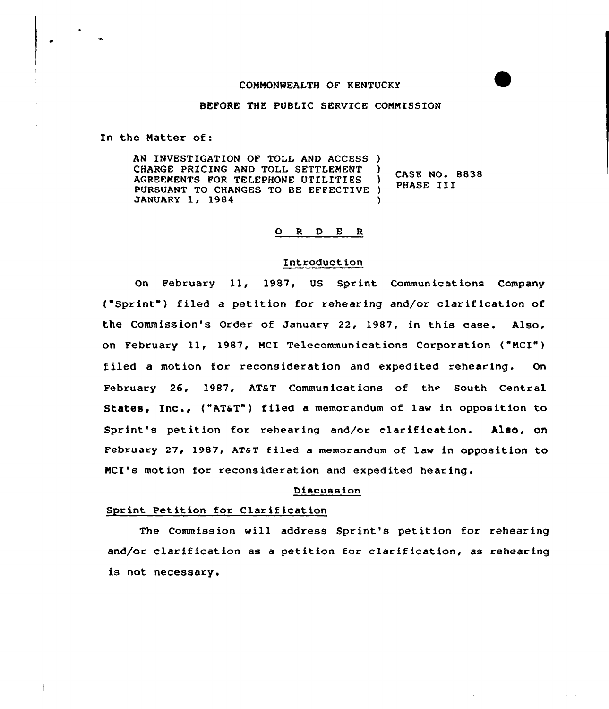# CONNONWEALTH OF KENTUCKY

## BEFORE THE PUBLIC SERVICE CONNISSION

In the Hatter of:

AN INVESTIGATION OF TOLL AND ACCESS ) CHARGE PRICING AND TOLL SETTLEMENT AGREENENTS FOR TELEPHONE UTILITIES ) PURSUANT TO CHANGES TO BE EFFECTIVE )<br>JANUARY 1, 1984 JANUARY 1, 1984 CASE NO. 8838 PHASE III

### 0 <sup>R</sup> <sup>D</sup> <sup>E</sup> <sup>R</sup>

# Introduction

On February 11, 1987, US Sprint Communications Company ("Sprint ) filed <sup>a</sup> petition for rehearing and/or clarification of the Commission's Order of January 22, 1987, in this case. Also, on February ll, 1987, MCI Telecommunications Corporation ("NCI") filed a motion for reconsideration and expedited rehearing. On February 26, 1987, AT&T Communications of the South Central States, Inc., ("AT&T") filed a memorandum of law in opposition to Sprint's petition for rehearing and/or clarification. Also, on February 27, 1987, AT&T filed a memorandum of law in opposition to MCI's motion for reconsideration and expedited hearing.

# Discussion

#### Sprint Petition for Clarification

The Commission will address Sprint's petition for rehearing and/or clarification as a petition for clarification, as rehearing is not necessary.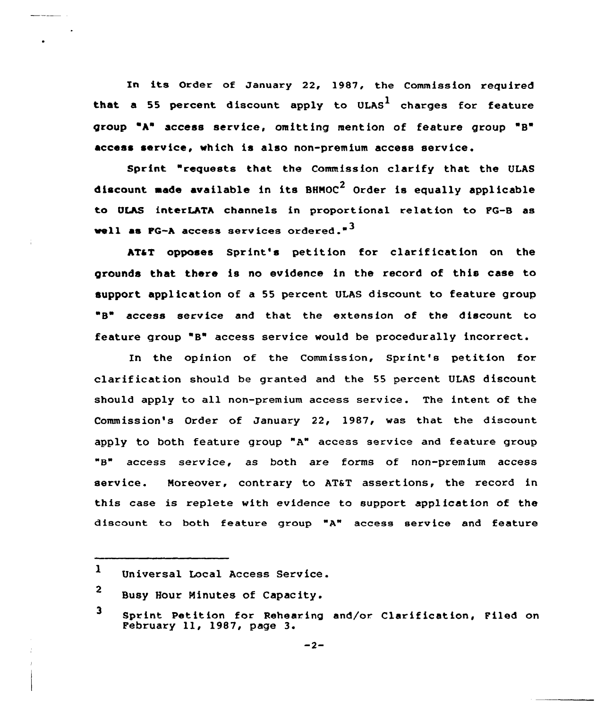In its Order of January 22, 1987, the Commission required that a 55 percent discount apply to ULAS<sup>1</sup> charges for feature group "A" access service, omitting mention of feature group "B" access service, which is also non-premium access service.

Sprint "requests that the Commission clarify that the ULAS discount made available in its  $BHMOC<sup>2</sup>$  Order is equally applicable to ULAS interLATA channels in proportional relation to PG-B as well as FG-A access services ordered." $3$ 

ATaT opposes Sprint's petition for clarif ication on the grounds that there is no evidence in the record of this case to support application of a 55 percent ULAS discount to feature group B" access service and that the extension of the discount to feature group "B" access service would be procedurally incorrect.

In the opinion of the Commission, Sprint's petition fox clarification should be granted and the 55 percent ULAS discount should apply to all non-premium access service. The intent of the Commission's Order of January 22, 1987, was that the discount apply to both feature group "A" access service and feature group "B" access service, as both are forms of non-premium access service. Moreover, contrary to AT&T assertions, the record in this case is replete with evidence to support application of the discount to both feature gxoup "A" access service and feature

 $\mathbf{1}$ Universal Local Access Service.

<sup>2</sup> Busy Hour Minutes of Capac ity.

<sup>3</sup> Sprint Petition for Rehearing and/or Clarification, Piled on February ll, 1987, page 3.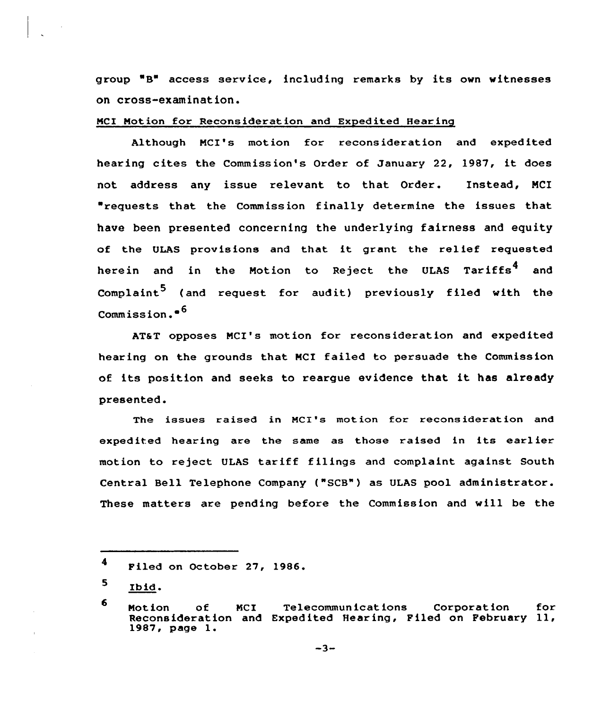group B" access service, including remarks by its own witnesses on cross-examination.

NCI Notion for Reconsideration and Expedited Hearing

Although NCI's motion for reconsideration and expedited hearing cites the Commission's Order of January 22, 1987, it does not address any issue relevant to that Order. Instead, MCI "requests that the Commission finally determine the issues that have been presented concerning the underlying fairness and equity of the ULAS provisions and that it grant the relief requested herein and in the Motion to Reject the ULAS Tariffs<sup>4</sup> and Complaint<sup>5</sup> (and request for audit) previously filed with the Commission. <sup>~</sup> <sup>6</sup>

AT&T opposes MCI's motion for reconsideration and expedited hearing on the grounds that NCI failed to persuade the Commission of its position and seeks to reargue evidence that it has already presented.

The issues raised in NCI's motion for reconsideration and expedited hearing are the same as those raised in its earlier motion to reject ULAS tariff filings and complaint against South Central Bell Telephone Company ("SCB") as ULAS pool administrator. These matters are pending before the Commission and will be the

<sup>4</sup> Filed an October 27, 1986.

<sup>5.</sup> Ibid.

<sup>6</sup> Notion of NCI Telecommunications Corporatian for Reconsideration and Expedited Hearing, Filed on February ll, 1987, page 1.